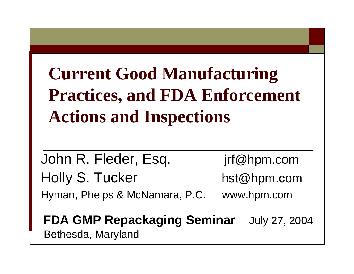## **Current Good Manufacturing Practices, and FDA Enforcement Actions and Inspections**

John R. Fleder, Esq. *jrf@hpm.com* Holly S. Tucker hst@hpm.com Hyman, Phelps & McNamara, P.C. www.hpm.com

#### **FDA GMP Repackaging Seminar** July 27, 2004 Bethesda, Maryland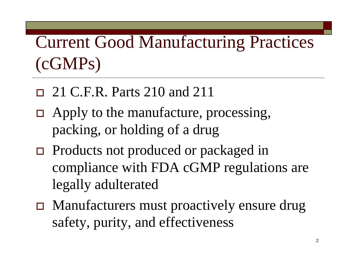Current Good Manufacturing Practices (cGMPs)

- 21 C.F.R. Parts 210 and 211
- $\Box$  Apply to the manufacture, processing, packing, or holding of a drug
- □ Products not produced or packaged in compliance with FDA cGMP regulations are legally adulterated
- □ Manufacturers must proactively ensure drug safety, purity, and effectiveness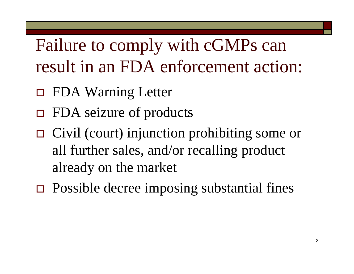## Failure to comply with cGMPs can result in an FDA enforcement action:

- FDA Warning Letter
- FDA seizure of products
- Civil (court) injunction prohibiting some or all further sales, and/or recalling product already on the market
- □ Possible decree imposing substantial fines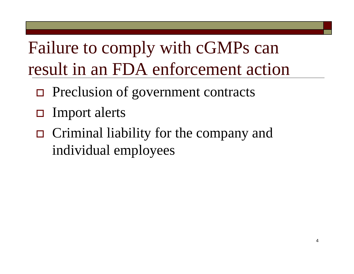## Failure to comply with cGMPs can result in an FDA enforcement action

- $\Box$  Preclusion of government contracts
- □ Import alerts
- $\Box$  Criminal liability for the company and individual employees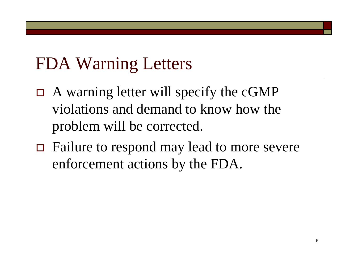### FDA Warning Letters

- A warning letter will specify the cGMP violations and demand to know how the problem will be corrected.
- Failure to respond may lead to more severe enforcement actions by the FDA.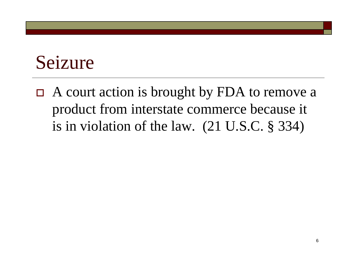### Seizure

 $\Box$  A court action is brought by FDA to remove a product from interstate commerce because it is in violation of the law. (21 U.S.C. § 334)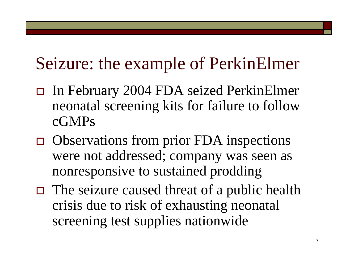#### Seizure: the example of PerkinElmer

- In February 2004 FDA seized PerkinElmer neonatal screening kits for failure to follow cGMPs
- Observations from prior FDA inspections were not addressed; company was seen as nonresponsive to sustained prodding
- $\Box$  The seizure caused threat of a public health crisis due to risk of exhausting neonatal screening test supplies nationwide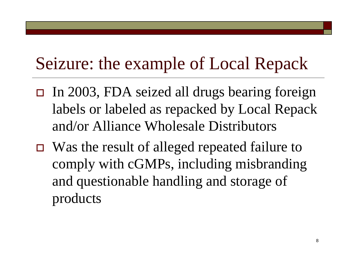### Seizure: the example of Local Repack

- □ In 2003, FDA seized all drugs bearing foreign labels or labeled as repacked by Local Repack and/or Alliance Wholesale Distributors
- Was the result of alleged repeated failure to comply with cGMPs, including misbranding and questionable handling and storage of products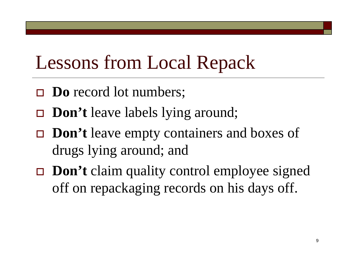### Lessons from Local Repack

- **Do** record lot numbers;
- **Don't** leave labels lying around;
- **Don't** leave empty containers and boxes of drugs lying around; and
- **Don't** claim quality control employee signed off on repackaging records on his days off.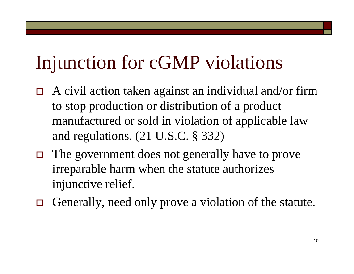# Injunction for cGMP violations

- $\Box$  A civil action taken against an individual and/or firm to stop production or distribution of a product manufactured or sold in violation of applicable law and regulations. (21 U.S.C. § 332)
- The government does not generally have to prove irreparable harm when the statute authorizes injunctive relief.
- $\Box$ Generally, need only prove a violation of the statute.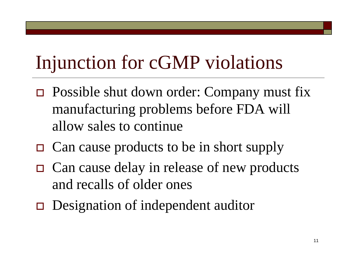# Injunction for cGMP violations

- Possible shut down order: Company must fix manufacturing problems before FDA will allow sales to continue
- □ Can cause products to be in short supply
- □ Can cause delay in release of new products and recalls of older ones
- □ Designation of independent auditor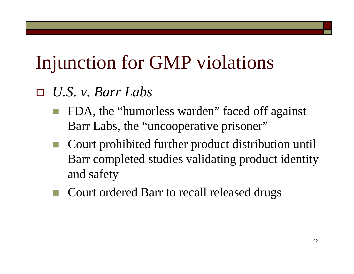# Injunction for GMP violations

#### *U.S. v. Barr Labs*

- **Service Service**  FDA, the "humorless warden" faced off against Barr Labs, the "uncooperative prisoner"
- Court prohibited further product distribution until Barr completed studies validating product identity and safety
- Court ordered Barr to recall released drugs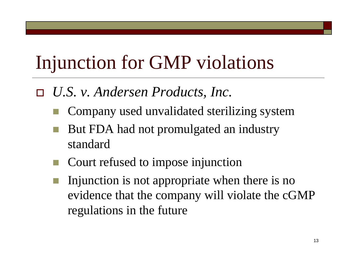# Injunction for GMP violations

#### *U.S. v. Andersen Products, Inc.*

- **Service Service** Company used unvalidated sterilizing system
- But FDA had not promulgated an industry standard
- Court refused to impose injunction
- Injunction is not appropriate when there is no evidence that the company will violate the cGMP regulations in the future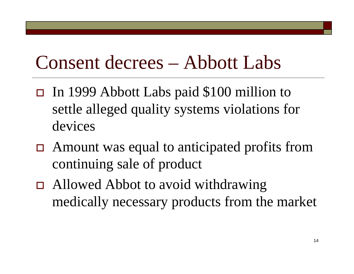### Consent decrees – Abbott Labs

- In 1999 Abbott Labs paid \$100 million to settle alleged quality systems violations for devices
- Amount was equal to anticipated profits from continuing sale of product
- □ Allowed Abbot to avoid withdrawing medically necessary products from the market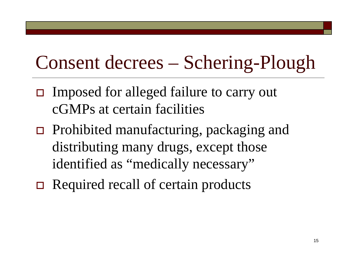# Consent decrees – Schering-Plough

- □ Imposed for alleged failure to carry out cGMPs at certain facilities
- Prohibited manufacturing, packaging and distributing many drugs, except those identified as "medically necessary"
- Required recall of certain products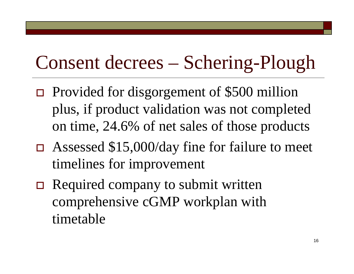# Consent decrees – Schering-Plough

- Provided for disgorgement of \$500 million plus, if product validation was not completed on time, 24.6% of net sales of those products
- Assessed \$15,000/day fine for failure to meet timelines for improvement
- $\Box$  Required company to submit written comprehensive cGMP workplan with timetable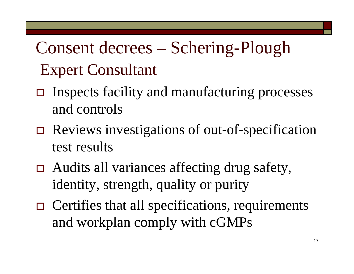Consent decrees – Schering-Plough Expert Consultant

- $\Box$  Inspects facility and manufacturing processes and controls
- Reviews investigations of out-of-specification test results
- Audits all variances affecting drug safety, identity, strength, quality or purity
- $\Box$  Certifies that all specifications, requirements and workplan comply with cGMPs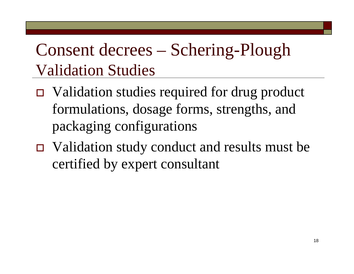### Consent decrees – Schering-Plough Validation Studies

- Validation studies required for drug product formulations, dosage forms, strengths, and packaging configurations
- Validation study conduct and results must be certified by expert consultant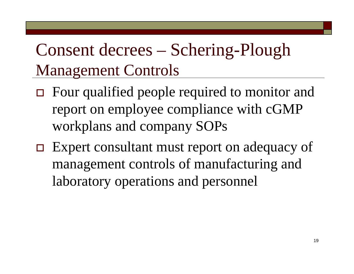### Consent decrees – Schering-Plough Management Controls

- Four qualified people required to monitor and report on employee compliance with cGMP workplans and company SOPs
- □ Expert consultant must report on adequacy of management controls of manufacturing and laboratory operations and personnel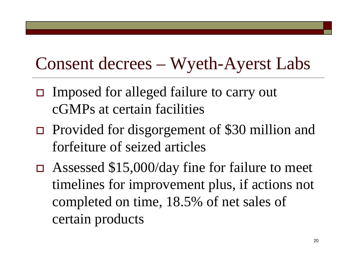#### Consent decrees – Wyeth-Ayerst Labs

- □ Imposed for alleged failure to carry out cGMPs at certain facilities
- Provided for disgorgement of \$30 million and forfeiture of seized articles
- Assessed \$15,000/day fine for failure to meet timelines for improvement plus, if actions not completed on time, 18.5% of net sales of certain products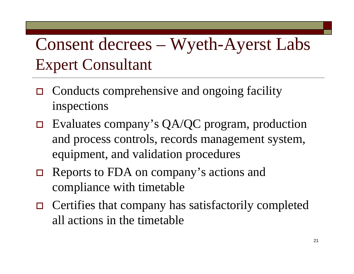### Consent decrees – Wyeth-Ayerst Labs Expert Consultant

- $\Box$  Conducts comprehensive and ongoing facility inspections
- $\Box$  Evaluates company's QA/QC program, production and process controls, records management system, equipment, and validation procedures
- $\Box$  Reports to FDA on company's actions and compliance with timetable
- $\Box$  Certifies that company has satisfactorily completed all actions in the timetable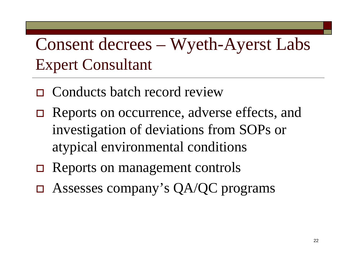Consent decrees – Wyeth-Ayerst Labs Expert Consultant

- □ Conducts batch record review
- Reports on occurrence, adverse effects, and investigation of deviations from SOPs or atypical environmental conditions
- $\Box$  Reports on management controls
- Assesses company's QA/QC programs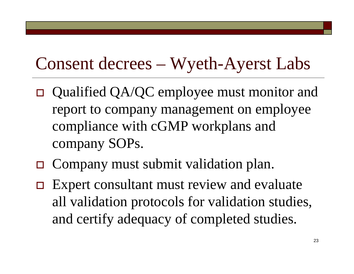#### Consent decrees – Wyeth-Ayerst Labs

- Qualified QA/QC employee must monitor and report to company management on employee compliance with cGMP workplans and company SOPs.
- $\Box$  Company must submit validation plan.
- $\Box$  Expert consultant must review and evaluate all validation protocols for validation studies, and certify adequacy of completed studies.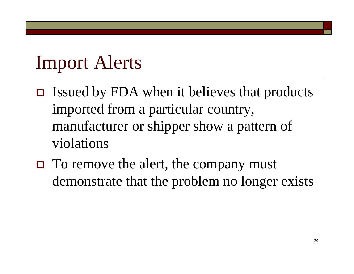# Import Alerts

- $\Box$  Issued by FDA when it believes that products imported from a particular country, manufacturer or shipper show a pattern of violations
- □ To remove the alert, the company must demonstrate that the problem no longer exists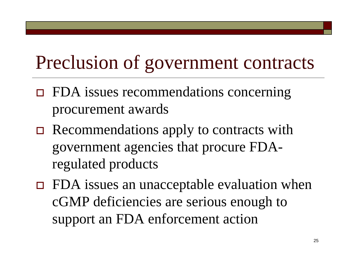## Preclusion of government contracts

- FDA issues recommendations concerning procurement awards
- Recommendations apply to contracts with government agencies that procure FDAregulated products
- □ FDA issues an unacceptable evaluation when cGMP deficiencies are serious enough to support an FDA enforcement action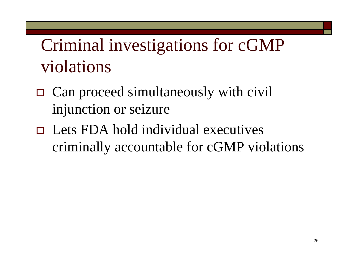### Criminal investigations for cGMP violations

- □ Can proceed simultaneously with civil injunction or seizure
- $\Box$  Lets FDA hold individual executives criminally accountable for cGMP violations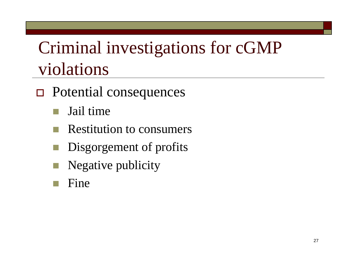## Criminal investigations for cGMP violations

- Potential consequences
	- **Service Service** Jail time
	- Restitution to consumers
	- Disgorgement of profits
	- Negative publicity
	- Fine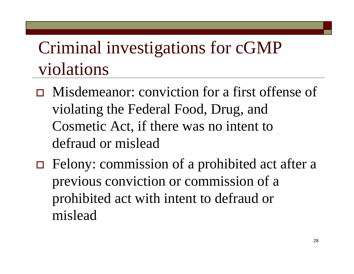### Criminal investigations for cGMP violations

- Misdemeanor: conviction for a first offense of violating the Federal Food, Drug, and Cosmetic Act, if there was no intent to defraud or mislead
- Felony: commission of a prohibited act after a previous conviction or commission of a prohibited act with intent to defraud or mislead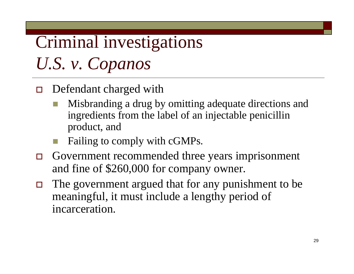# Criminal investigations *U.S. v. Copanos*

- $\Box$  Defendant charged with
	- E Misbranding a drug by omitting adequate directions and ingredients from the label of an injectable penicillin product, and
	- Failing to comply with cGMPs.
- $\Box$  Government recommended three years imprisonment and fine of \$260,000 for company owner.
- $\Box$  The government argued that for any punishment to be meaningful, it must include a lengthy period of incarceration.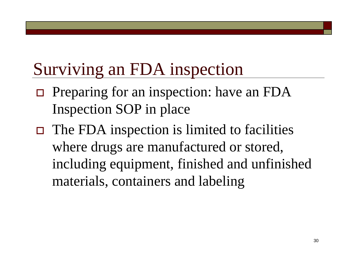- □ Preparing for an inspection: have an FDA Inspection SOP in place
- $\Box$  The FDA inspection is limited to facilities where drugs are manufactured or stored, including equipment, finished and unfinished materials, containers and labeling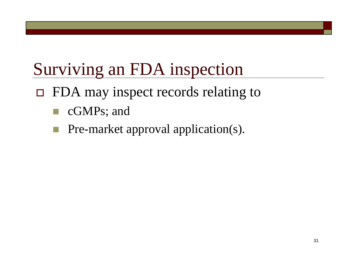- FDA may inspect records relating to
	- **Service Service** cGMPs; and
	- Pre-market approval application(s).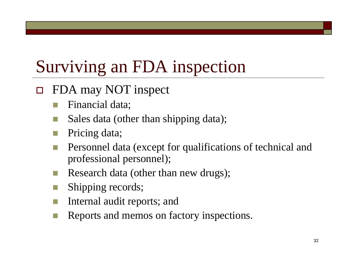- $\Box$  FDA may NOT inspect
	- Г Financial data;
	- Sales data (other than shipping data);
	- Pricing data;
	- Personnel data (except for qualifications of technical and professional personnel);
	- Research data (other than new drugs);
	- Shipping records;
	- Internal audit reports; and
	- Reports and memos on factory inspections.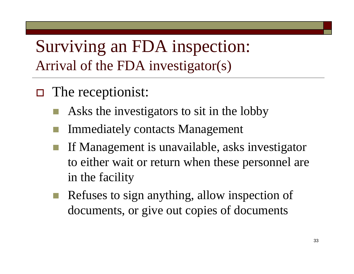Surviving an FDA inspection: Arrival of the FDA investigator(s)

- $\Box$  The receptionist:
	- **Service Service** Asks the investigators to sit in the lobby
	- Immediately contacts Management
	- If Management is unavailable, asks investigator to either wait or return when these personnel are in the facility
	- Refuses to sign anything, allow inspection of documents, or give out copies of documents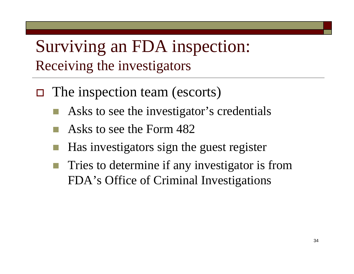#### Surviving an FDA inspection: Receiving the investigators

- □ The inspection team (escorts)
	- **Service Service** Asks to see the investigator's credentials
	- Asks to see the Form 482
	- Has investigators sign the guest register
	- Tries to determine if any investigator is from FDA's Office of Criminal Investigations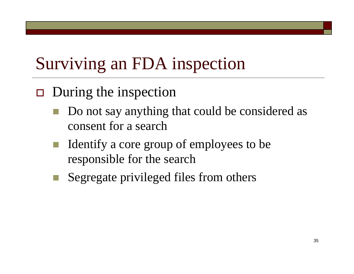- $\Box$  During the inspection
	- **Service Service**  Do not say anything that could be considered as consent for a search
	- Identify a core group of employees to be responsible for the search
	- Segregate privileged files from others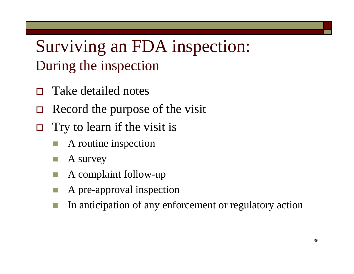#### Surviving an FDA inspection: During the inspection

- $\Box$ Take detailed notes
- $\Box$ Record the purpose of the visit
- $\Box$  Try to learn if the visit is
	- A routine inspection
	- A survey
	- A complaint follow-up
	- A pre-approval inspection
	- In anticipation of any enforcement or regulatory action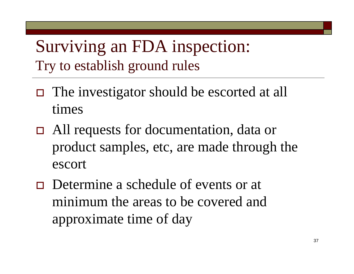Surviving an FDA inspection: Try to establish ground rules

- The investigator should be escorted at all times
- All requests for documentation, data or product samples, etc, are made through the escort
- $\Box$  Determine a schedule of events or at minimum the areas to be covered and approximate time of day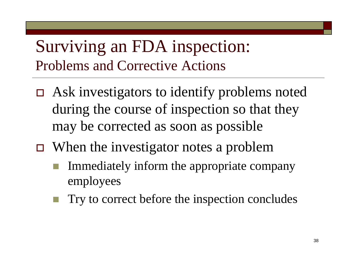#### Surviving an FDA inspection: Problems and Corrective Actions

- Ask investigators to identify problems noted during the course of inspection so that they may be corrected as soon as possible
- When the investigator notes a problem
	- Immediately inform the appropriate company employees
	- Try to correct before the inspection concludes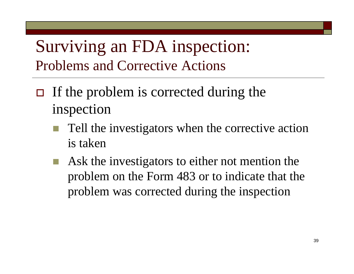#### Surviving an FDA inspection: Problems and Corrective Actions

- $\Box$  If the problem is corrected during the inspection
	- Tell the investigators when the corrective action is taken
	- Ask the investigators to either not mention the problem on the Form 483 or to indicate that the problem was corrected during the inspection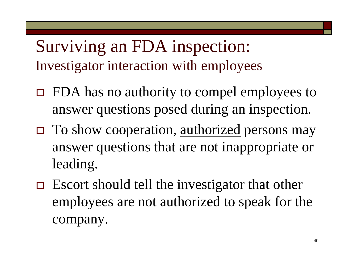#### Surviving an FDA inspection: Investigator interaction with employees

- FDA has no authority to compel employees to answer questions posed during an inspection.
- □ To show cooperation, <u>authorized</u> persons may answer questions that are not inappropriate or leading.
- $\Box$  Escort should tell the investigator that other employees are not authorized to speak for the company.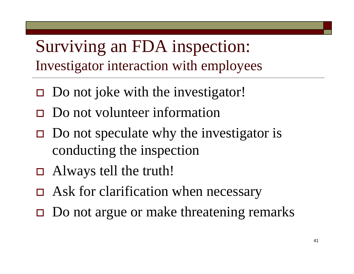Surviving an FDA inspection: Investigator interaction with employees

- $\Box$  Do not joke with the investigator!
- □ Do not volunteer information
- $\Box$  Do not speculate why the investigator is conducting the inspection
- Always tell the truth!
- □ Ask for clarification when necessary
- □ Do not argue or make threatening remarks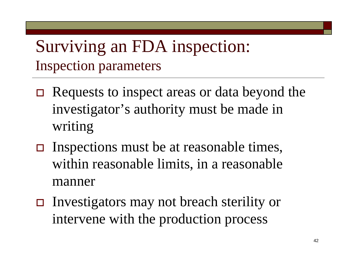#### Surviving an FDA inspection: Inspection parameters

- Requests to inspect areas or data beyond the investigator's authority must be made in writing
- $\Box$  Inspections must be at reasonable times, within reasonable limits, in a reasonable manner
- □ Investigators may not breach sterility or intervene with the production process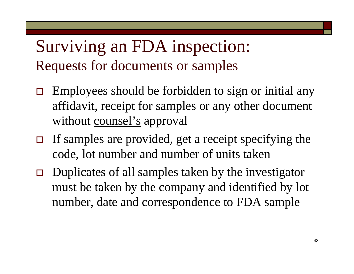#### Surviving an FDA inspection: Requests for documents or samples

- $\Box$  Employees should be forbidden to sign or initial any affidavit, receipt for samples or any other document without <u>counsel's</u> approval
- $\Box$  If samples are provided, get a receipt specifying the code, lot number and number of units taken
- $\Box$  Duplicates of all samples taken by the investigator must be taken by the company and identified by lot number, date and correspondence to FDA sample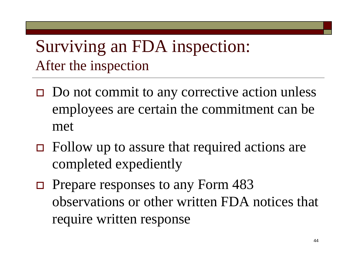Surviving an FDA inspection: After the inspection

- □ Do not commit to any corrective action unless employees are certain the commitment can be met
- Follow up to assure that required actions are completed expediently
- □ Prepare responses to any Form 483 observations or other written FDA notices that require written response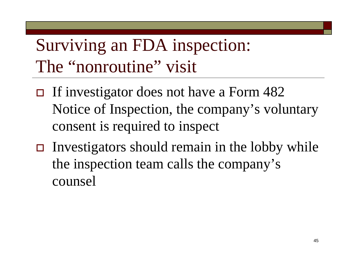## Surviving an FDA inspection: The "nonroutine" visit

- $\Box$  If investigator does not have a Form 482 Notice of Inspection, the company's voluntary consent is required to inspect
- Investigators should remain in the lobby while the inspection team calls the company's counsel